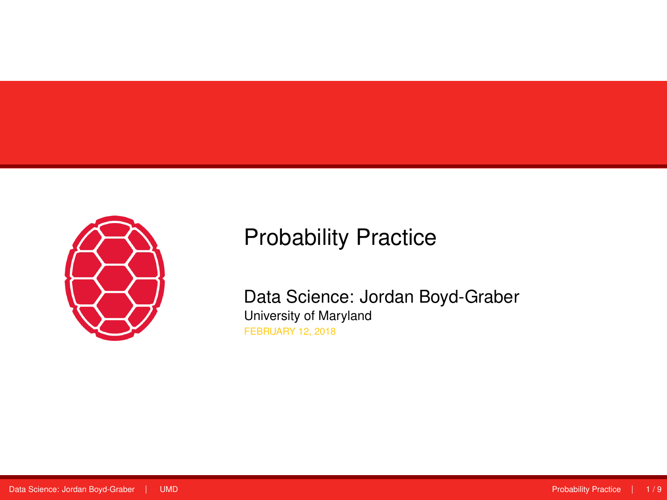<span id="page-0-0"></span>

# Probability Practice

Data Science: Jordan Boyd-Graber University of Maryland FEBRUARY 12, 2018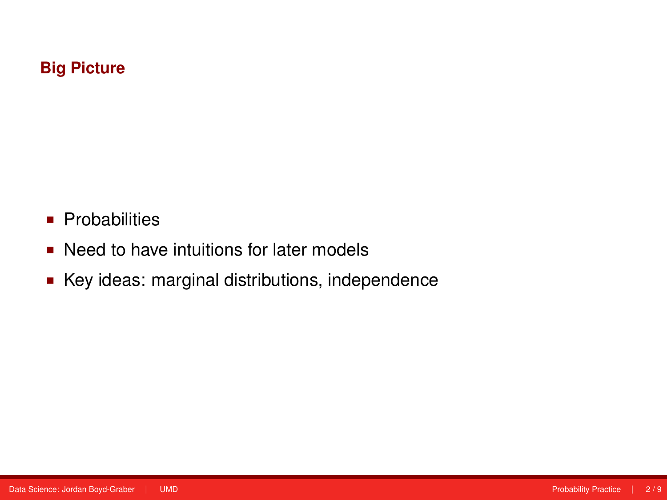#### **Big Picture**

- **Probabilities**
- Need to have intuitions for later models
- Key ideas: marginal distributions, independence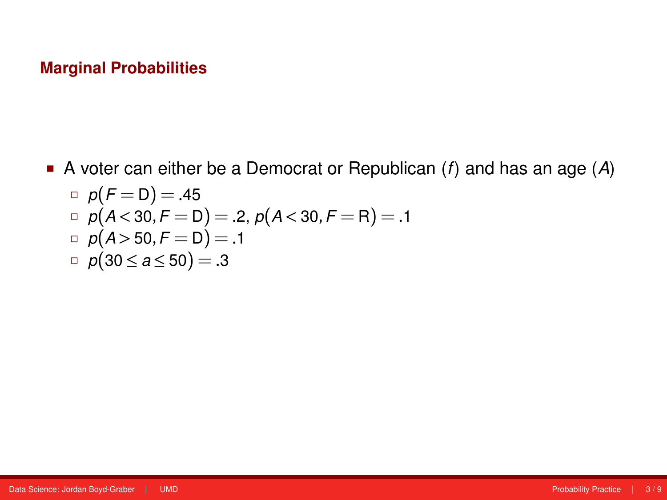#### **Marginal Probabilities**

 A voter can either be a Democrat or Republican (*f*) and has an age (*A*)  $p(F = D) = .45$  $p(A < 30, F = D) = .2, p(A < 30, F = R) = .1$  $p(A > 50, F = D) = .1$  $$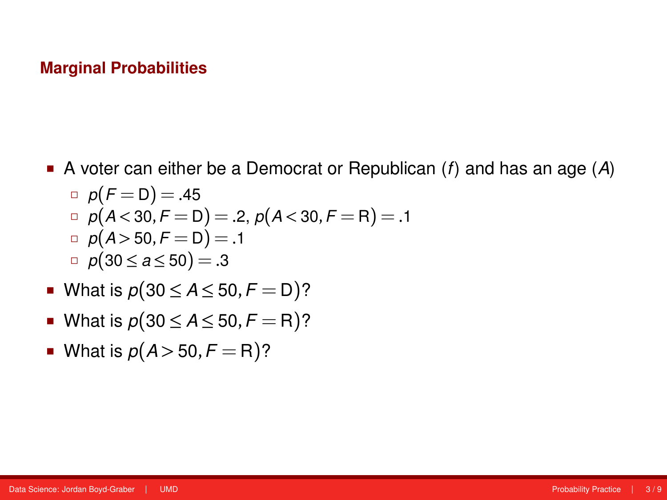#### **Marginal Probabilities**

- A voter can either be a Democrat or Republican (*f*) and has an age (*A*)  $p(F = D) = .45$  $p(A < 30, F = D) = .2, p(A < 30, F = R) = .1$ 
	- $p(A > 50, F = D) = .1$
	- $$
- What is  $p(30 \le A \le 50, F = D)$ ?
- What is  $p(30 \le A \le 50, F = R)$ ?
- What is  $p(A>50, F = R)$ ?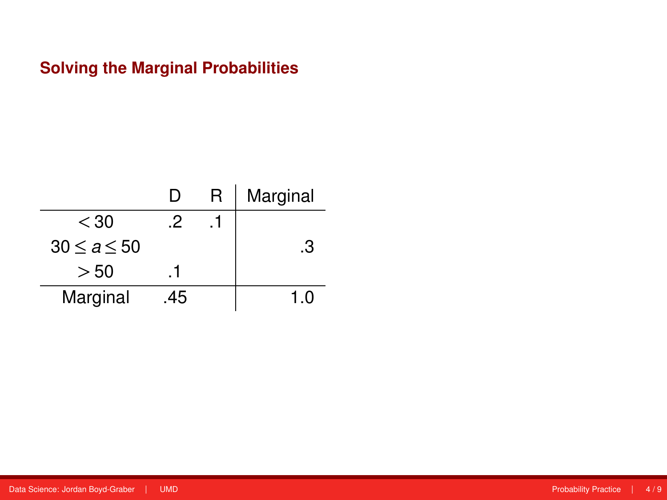|             |    | R. | Marginal |
|-------------|----|----|----------|
| $<$ 30      | 2  |    |          |
| 30 < a < 50 |    |    | .3       |
| > 50        |    |    |          |
| Marginal    | 45 |    | 1 ก      |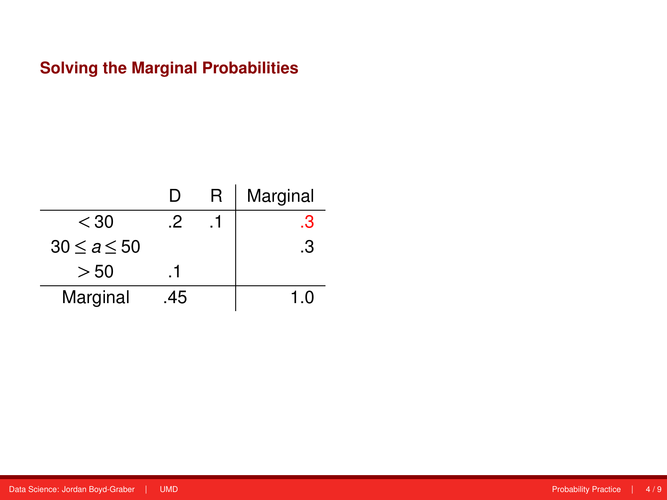|             |    | R. | Marginal |
|-------------|----|----|----------|
| $<$ 30      | .2 |    | .3       |
| 30 < a < 50 |    |    | .3       |
| > 50        |    |    |          |
| Marginal    | 45 |    | 1 በ      |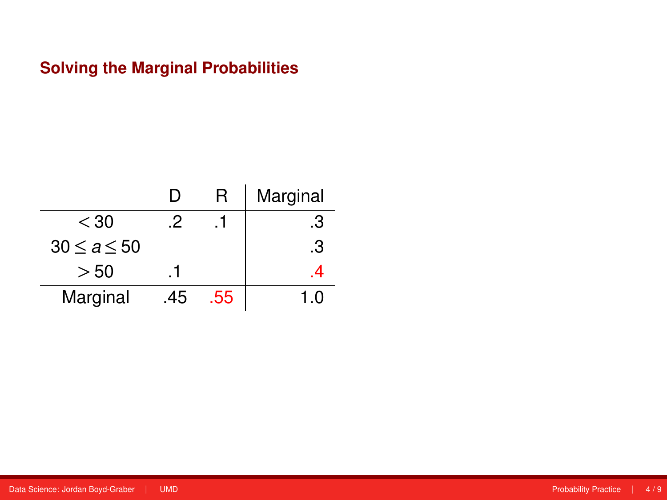|                   | $\mathbf{L}$ | R   | Marginal |
|-------------------|--------------|-----|----------|
| $<$ 30            | 2            |     | .3       |
| $30 \le a \le 50$ |              |     | .3       |
| > 50              |              |     |          |
| Marginal          | .45          | .55 |          |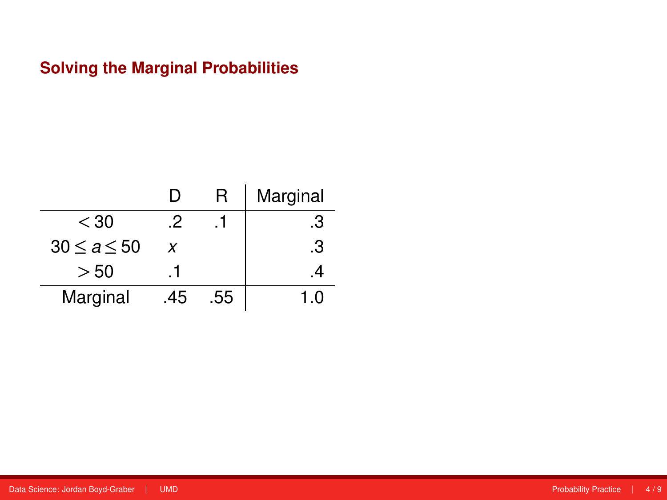|                   | נ ו | R   | Marginal  |
|-------------------|-----|-----|-----------|
| $<$ 30            | .2  |     | .3        |
| $30 \le a \le 50$ | x   |     | .3        |
| > 50              |     |     |           |
| Marginal          | .45 | .55 | $\bigcap$ |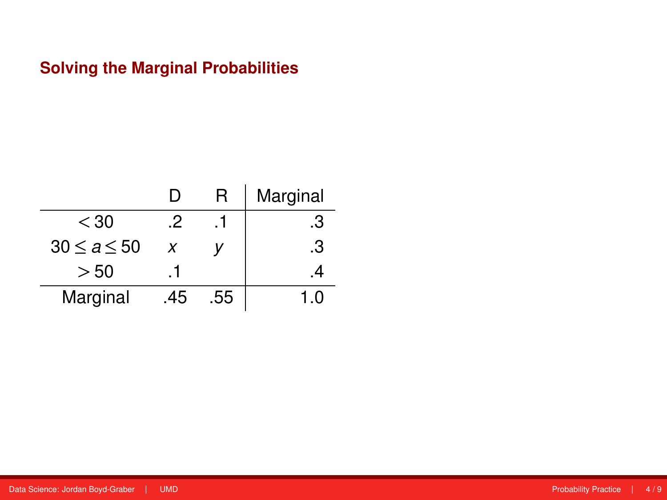|                   | L)  | R   | Marginal   |
|-------------------|-----|-----|------------|
| $<$ 30            | 2   |     | .3         |
| $30 \le a \le 50$ | x   |     | .3         |
| > 50              |     |     |            |
| Marginal          | .45 | .55 | $\epsilon$ |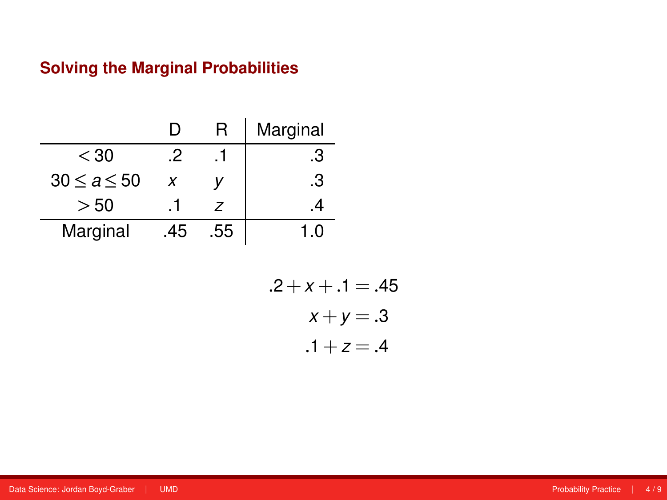|             | נ ו | R   | Marginal |
|-------------|-----|-----|----------|
| $<$ 30      |     |     | .3       |
| 30 < a < 50 | x   |     | .3       |
| > 50        |     |     |          |
| Marginal    | .45 | .55 | - ( )    |

$$
2 + x + 0.1 = .45
$$

$$
x + y = .3
$$

$$
0.1 + z = .4
$$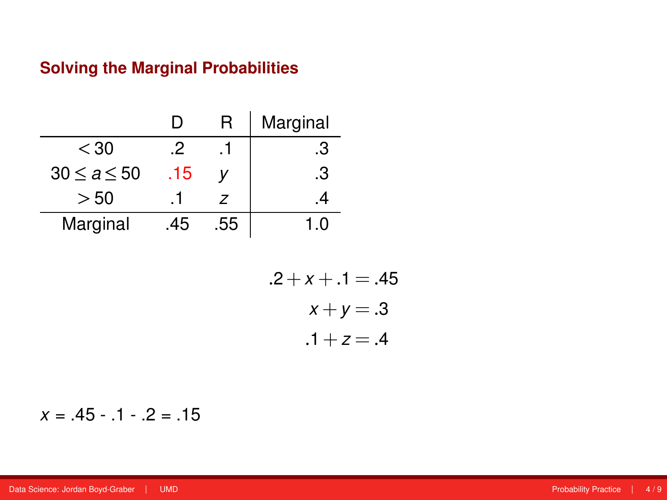|                   | Ш   | R   | Marginal |
|-------------------|-----|-----|----------|
| < 30              | .2  |     | .3       |
| $30 \le a \le 50$ | .15 |     | .3       |
| > 50              |     |     | 4        |
| Marginal          | .45 | .55 | $\Omega$ |

$$
.2 + x + .1 = .45
$$

$$
x + y = .3
$$

$$
.1 + z = .4
$$

 $x = .45 - .1 - .2 = .15$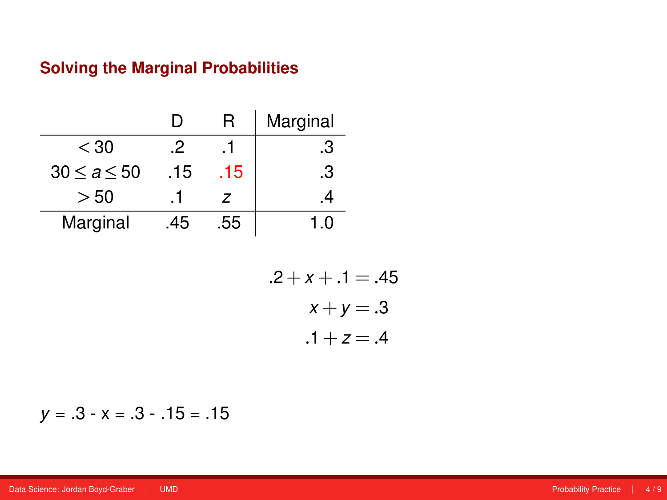|             | ו ו | R   | Marginal |
|-------------|-----|-----|----------|
| $<$ 30      | 2   |     | .3       |
| 30 < a < 50 | .15 | .15 | .3       |
| >50         |     |     | 4        |
| Marginal    |     | .55 | .O       |

$$
.2 + x + .1 = .45
$$

$$
x + y = .3
$$

$$
.1 + z = .4
$$

*y* = .3 - x = .3 - .15 = .15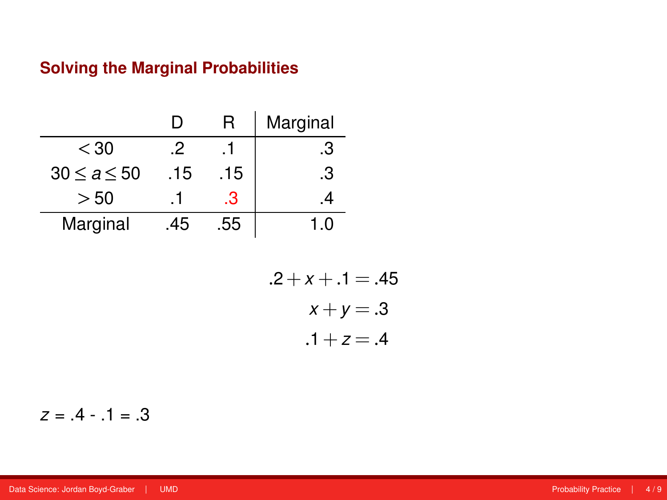|             |     | R   | Marginal |
|-------------|-----|-----|----------|
| $<$ 30      | .2  |     | .3       |
| 30 < a < 50 | .15 | .15 | .3       |
| >50         |     | .3  |          |
| Marginal    | 45  | .55 | - 0      |

$$
.2 + x + .1 = .45
$$

$$
x + y = .3
$$

$$
.1 + z = .4
$$

 $z = .4 - .1 = .3$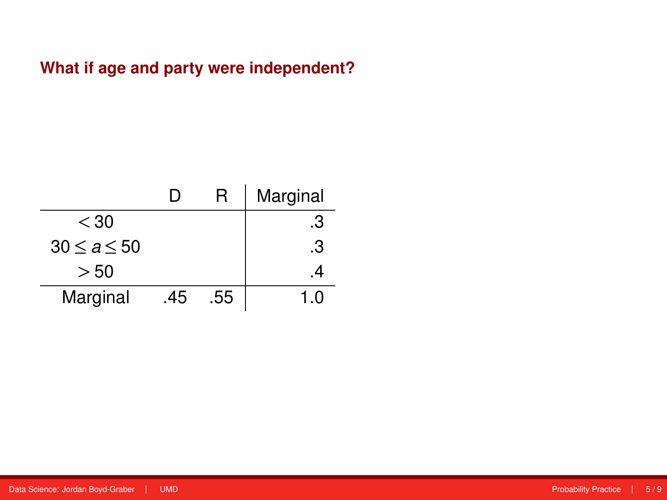|             | L)  | R   | Marginal |
|-------------|-----|-----|----------|
| $<$ 30      |     |     | .3       |
| 30 < a < 50 |     |     | .3       |
| > 50        |     |     |          |
| Marginal    | .45 | .55 | - റ      |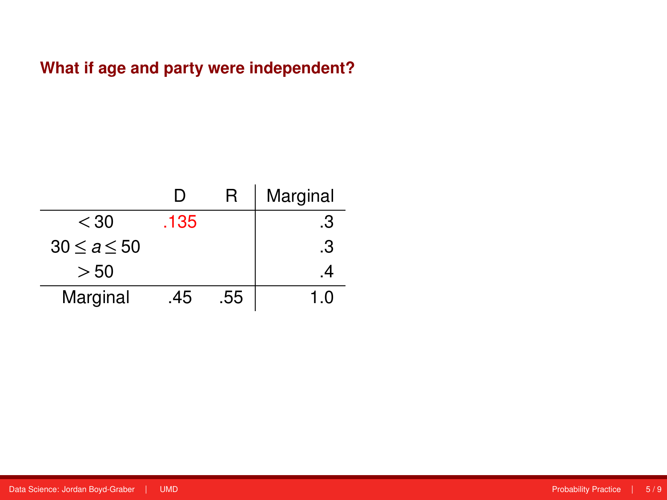|             | ו ו  | R   | Marginal |
|-------------|------|-----|----------|
| $<$ 30      | .135 |     | .3       |
| 30 < a < 50 |      |     | .3       |
| > 50        |      |     |          |
| Marginal    | .45  | .55 |          |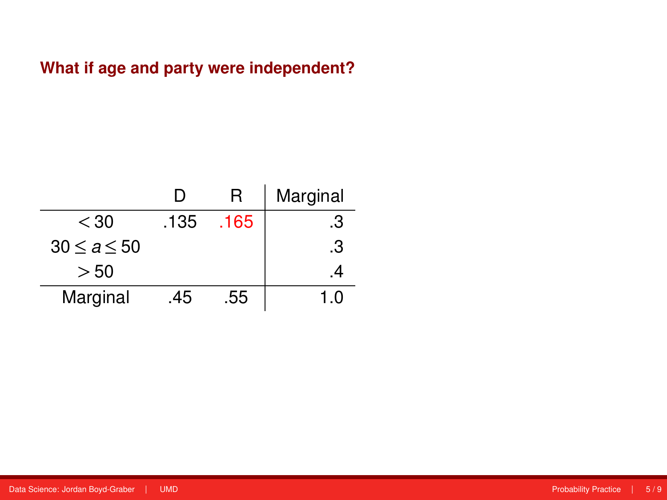|             |      | R    | Marginal |
|-------------|------|------|----------|
| $<$ 30      | .135 | .165 | .3       |
| 30 < a < 50 |      |      | .3       |
| > 50        |      |      |          |
| Marginal    | 45   | .55  | $+0$     |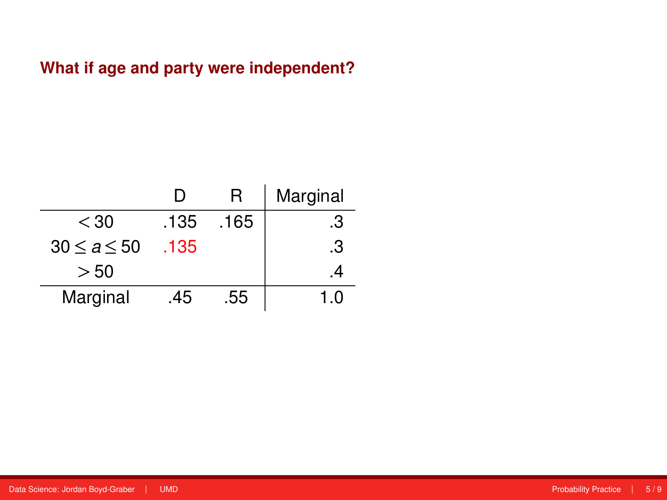|             |      | R    | Marginal |
|-------------|------|------|----------|
| $<$ 30      | .135 | .165 | .3       |
| 30 < a < 50 | .135 |      | .3       |
| > 50        |      |      |          |
| Marginal    | 45   | .55  | 10       |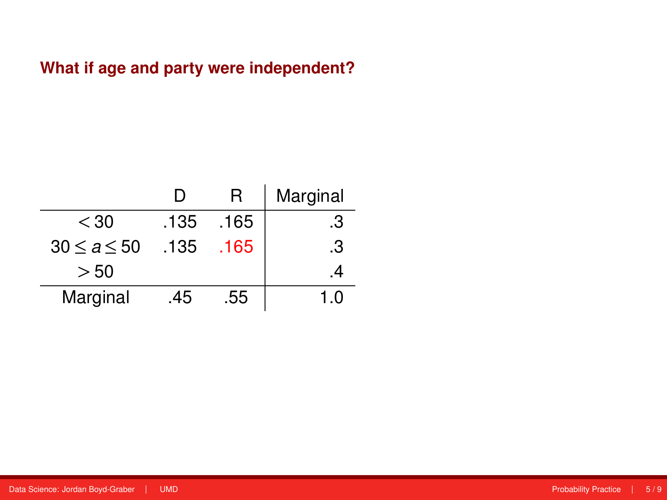|             |      | R    | Marginal |
|-------------|------|------|----------|
| $<$ 30      | .135 | .165 | .3       |
| 30 < a < 50 | .135 | .165 | .3       |
| >50         |      |      |          |
| Marginal    | 45   | .55  | $+0$     |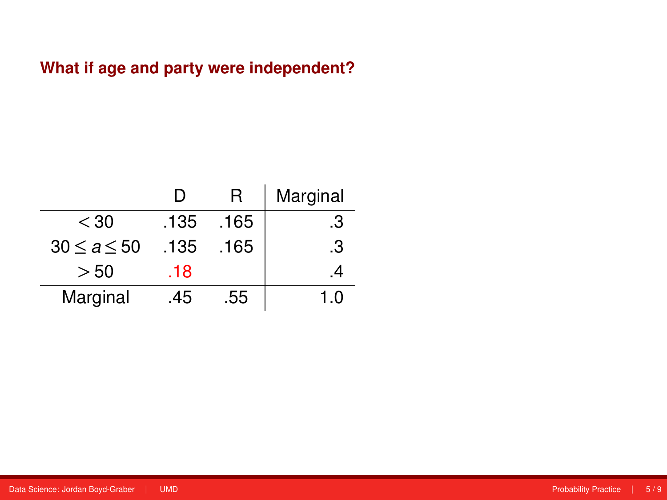|                   | נ ו  | н    | Marginal |
|-------------------|------|------|----------|
| $<$ 30            | .135 | .165 | .3       |
| $30 \le a \le 50$ | .135 | .165 | .З       |
| > 50              | .18  |      |          |
| Marginal          | .45  | .55  | 10       |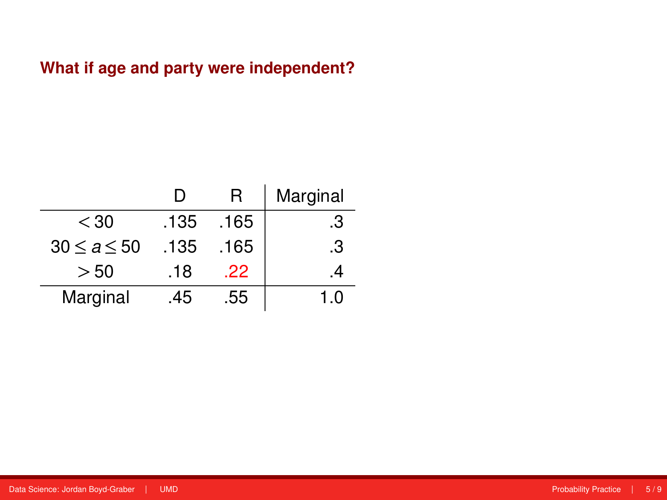|                   |      |      | Marginal |
|-------------------|------|------|----------|
| $<$ 30            | .135 | .165 | .3       |
| $30 \le a \le 50$ | .135 | .165 | .3       |
| > 50              | .18  | .22  |          |
| Marginal          | 45   | .55  | 10       |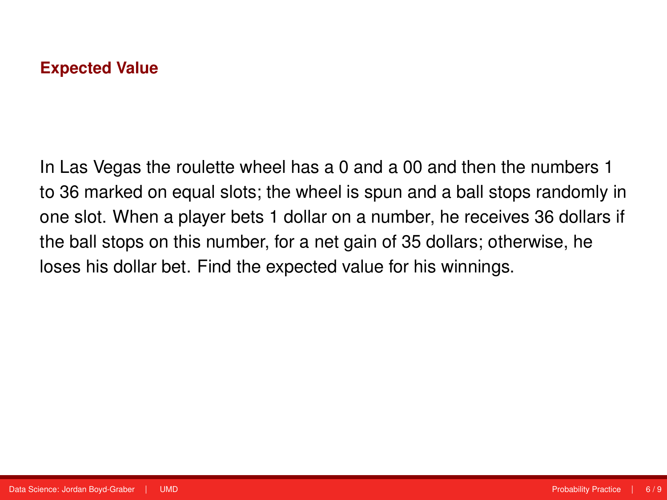In Las Vegas the roulette wheel has a 0 and a 00 and then the numbers 1 to 36 marked on equal slots; the wheel is spun and a ball stops randomly in one slot. When a player bets 1 dollar on a number, he receives 36 dollars if the ball stops on this number, for a net gain of 35 dollars; otherwise, he loses his dollar bet. Find the expected value for his winnings.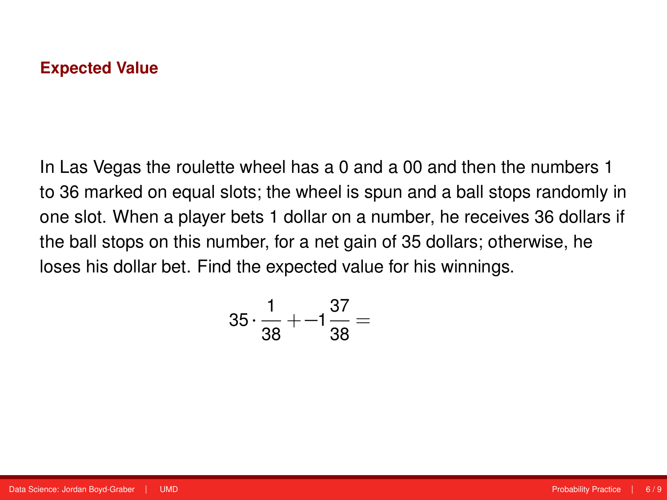In Las Vegas the roulette wheel has a 0 and a 00 and then the numbers 1 to 36 marked on equal slots; the wheel is spun and a ball stops randomly in one slot. When a player bets 1 dollar on a number, he receives 36 dollars if the ball stops on this number, for a net gain of 35 dollars; otherwise, he loses his dollar bet. Find the expected value for his winnings.

$$
35 \cdot \frac{1}{38} + -1 \frac{37}{38} =
$$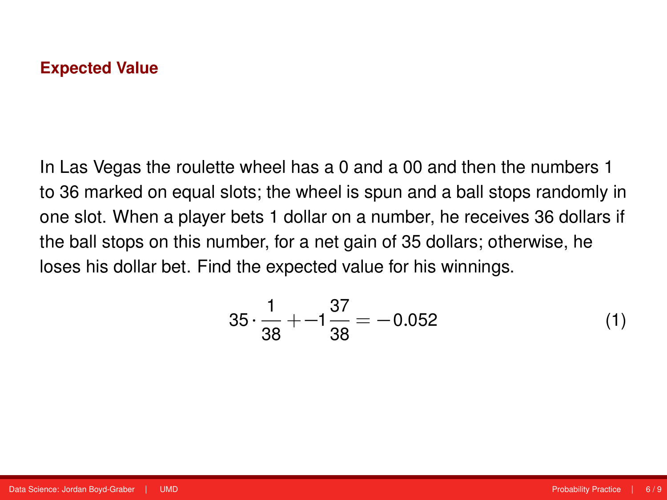In Las Vegas the roulette wheel has a 0 and a 00 and then the numbers 1 to 36 marked on equal slots; the wheel is spun and a ball stops randomly in one slot. When a player bets 1 dollar on a number, he receives 36 dollars if the ball stops on this number, for a net gain of 35 dollars; otherwise, he loses his dollar bet. Find the expected value for his winnings.

$$
35 \cdot \frac{1}{38} + 1 \frac{37}{38} = -0.052 \tag{1}
$$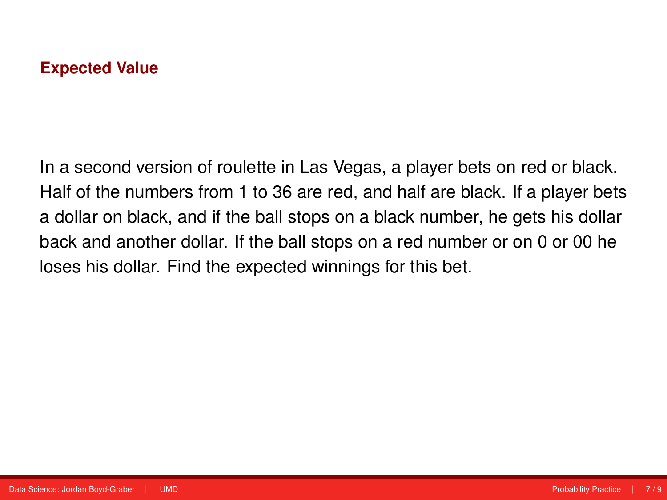In a second version of roulette in Las Vegas, a player bets on red or black. Half of the numbers from 1 to 36 are red, and half are black. If a player bets a dollar on black, and if the ball stops on a black number, he gets his dollar back and another dollar. If the ball stops on a red number or on 0 or 00 he loses his dollar. Find the expected winnings for this bet.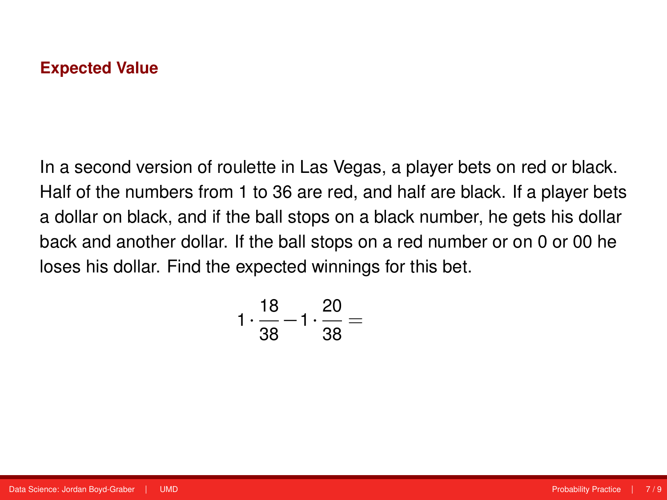In a second version of roulette in Las Vegas, a player bets on red or black. Half of the numbers from 1 to 36 are red, and half are black. If a player bets a dollar on black, and if the ball stops on a black number, he gets his dollar back and another dollar. If the ball stops on a red number or on 0 or 00 he loses his dollar. Find the expected winnings for this bet.

$$
1 \cdot \frac{18}{38} - 1 \cdot \frac{20}{38} =
$$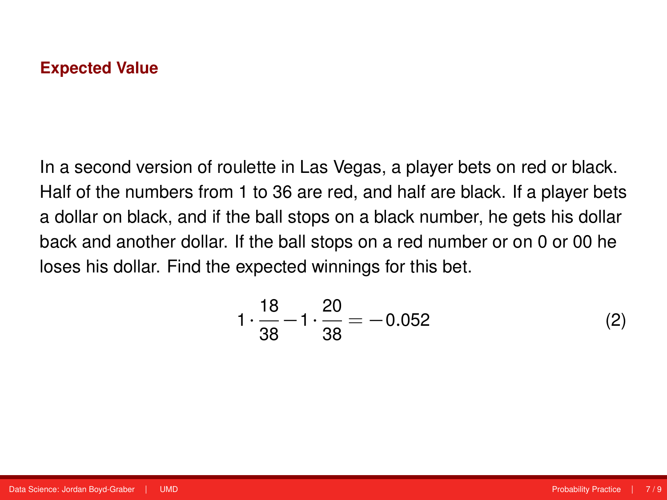In a second version of roulette in Las Vegas, a player bets on red or black. Half of the numbers from 1 to 36 are red, and half are black. If a player bets a dollar on black, and if the ball stops on a black number, he gets his dollar back and another dollar. If the ball stops on a red number or on 0 or 00 he loses his dollar. Find the expected winnings for this bet.

$$
1 \cdot \frac{18}{38} - 1 \cdot \frac{20}{38} = -0.052
$$
 (2)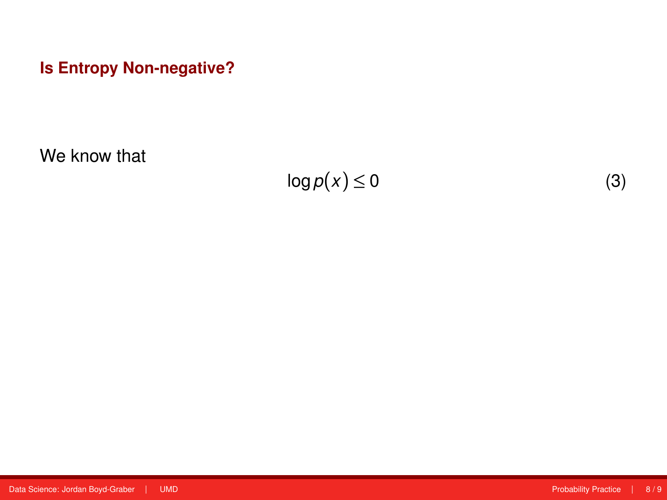**Is Entropy Non-negative?**

We know that

$$
\log p(x) \le 0 \tag{3}
$$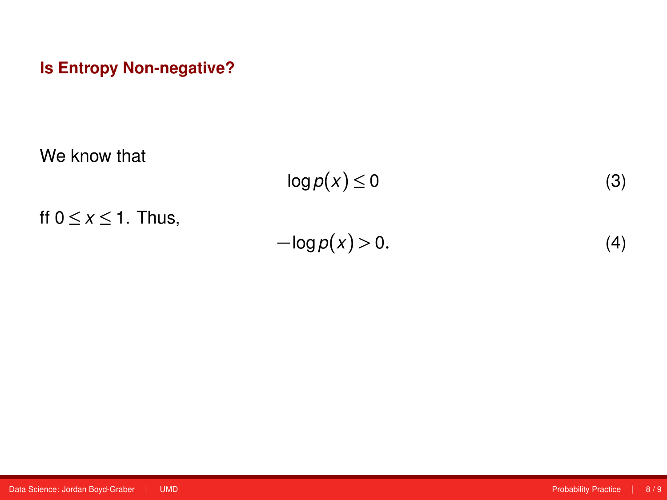#### **Is Entropy Non-negative?**

We know that

$$
\log p(x) \le 0 \tag{3}
$$

ff  $0 \leq x \leq 1$ . Thus,

$$
-\log p(x) > 0. \tag{4}
$$